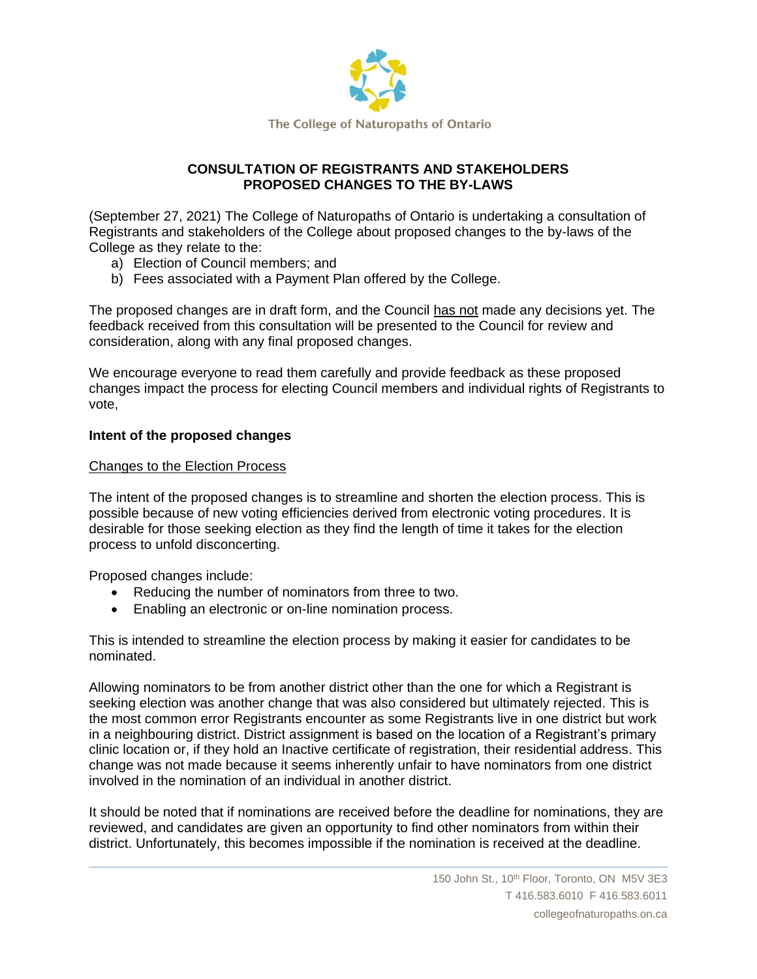

## **CONSULTATION OF REGISTRANTS AND STAKEHOLDERS PROPOSED CHANGES TO THE BY-LAWS**

(September 27, 2021) The College of Naturopaths of Ontario is undertaking a consultation of Registrants and stakeholders of the College about proposed changes to the by-laws of the College as they relate to the:

- a) Election of Council members; and
- b) Fees associated with a Payment Plan offered by the College.

The proposed changes are in draft form, and the Council has not made any decisions yet. The feedback received from this consultation will be presented to the Council for review and consideration, along with any final proposed changes.

We encourage everyone to read them carefully and provide feedback as these proposed changes impact the process for electing Council members and individual rights of Registrants to vote,

## **Intent of the proposed changes**

### Changes to the Election Process

The intent of the proposed changes is to streamline and shorten the election process. This is possible because of new voting efficiencies derived from electronic voting procedures. It is desirable for those seeking election as they find the length of time it takes for the election process to unfold disconcerting.

Proposed changes include:

- Reducing the number of nominators from three to two.
- Enabling an electronic or on-line nomination process.

This is intended to streamline the election process by making it easier for candidates to be nominated.

Allowing nominators to be from another district other than the one for which a Registrant is seeking election was another change that was also considered but ultimately rejected. This is the most common error Registrants encounter as some Registrants live in one district but work in a neighbouring district. District assignment is based on the location of a Registrant's primary clinic location or, if they hold an Inactive certificate of registration, their residential address. This change was not made because it seems inherently unfair to have nominators from one district involved in the nomination of an individual in another district.

It should be noted that if nominations are received before the deadline for nominations, they are reviewed, and candidates are given an opportunity to find other nominators from within their district. Unfortunately, this becomes impossible if the nomination is received at the deadline.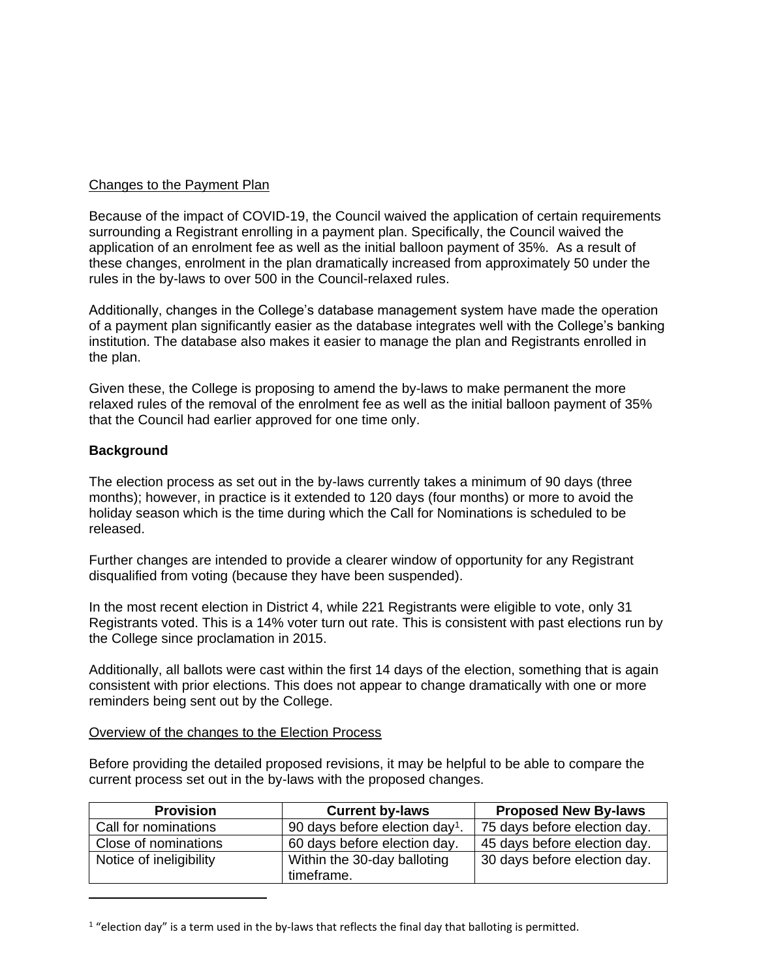### Changes to the Payment Plan

Because of the impact of COVID-19, the Council waived the application of certain requirements surrounding a Registrant enrolling in a payment plan. Specifically, the Council waived the application of an enrolment fee as well as the initial balloon payment of 35%. As a result of these changes, enrolment in the plan dramatically increased from approximately 50 under the rules in the by-laws to over 500 in the Council-relaxed rules.

Additionally, changes in the College's database management system have made the operation of a payment plan significantly easier as the database integrates well with the College's banking institution. The database also makes it easier to manage the plan and Registrants enrolled in the plan.

Given these, the College is proposing to amend the by-laws to make permanent the more relaxed rules of the removal of the enrolment fee as well as the initial balloon payment of 35% that the Council had earlier approved for one time only.

### **Background**

The election process as set out in the by-laws currently takes a minimum of 90 days (three months); however, in practice is it extended to 120 days (four months) or more to avoid the holiday season which is the time during which the Call for Nominations is scheduled to be released.

Further changes are intended to provide a clearer window of opportunity for any Registrant disqualified from voting (because they have been suspended).

In the most recent election in District 4, while 221 Registrants were eligible to vote, only 31 Registrants voted. This is a 14% voter turn out rate. This is consistent with past elections run by the College since proclamation in 2015.

Additionally, all ballots were cast within the first 14 days of the election, something that is again consistent with prior elections. This does not appear to change dramatically with one or more reminders being sent out by the College.

#### Overview of the changes to the Election Process

Before providing the detailed proposed revisions, it may be helpful to be able to compare the current process set out in the by-laws with the proposed changes.

| <b>Provision</b>        | <b>Current by-laws</b>                     | <b>Proposed New By-laws</b>  |  |
|-------------------------|--------------------------------------------|------------------------------|--|
| Call for nominations    | 90 days before election day <sup>1</sup> . | 75 days before election day. |  |
| Close of nominations    | 60 days before election day.               | 45 days before election day. |  |
| Notice of ineligibility | Within the 30-day balloting                | 30 days before election day. |  |
|                         | timeframe.                                 |                              |  |

 $1$  "election day" is a term used in the by-laws that reflects the final day that balloting is permitted.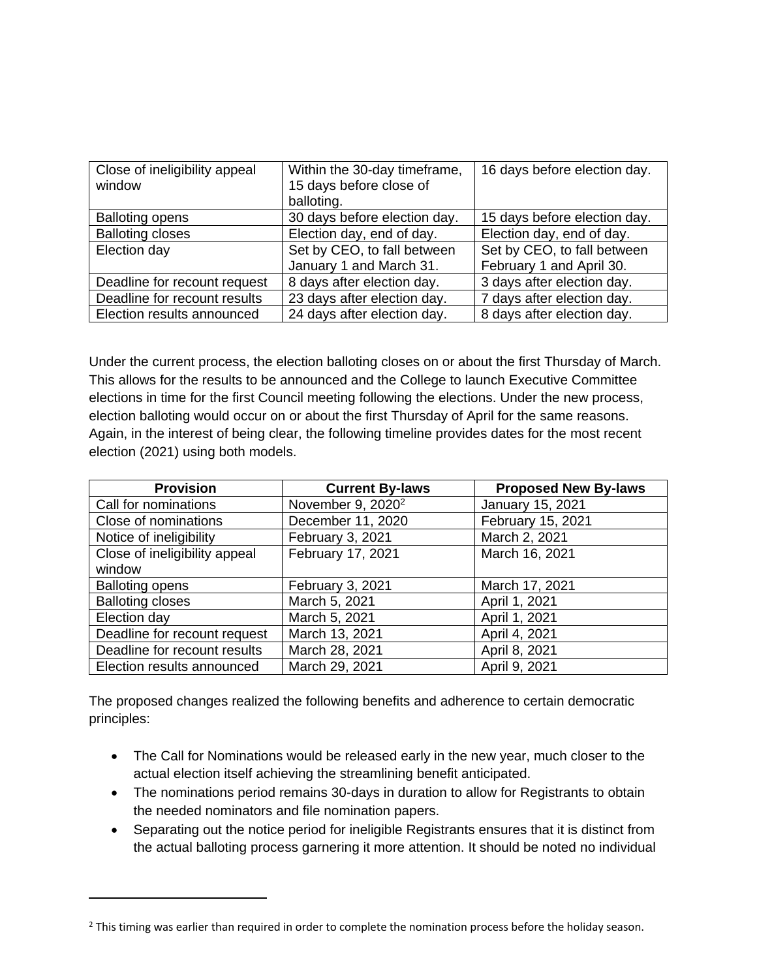| Close of ineligibility appeal<br>window | Within the 30-day timeframe,<br>15 days before close of<br>balloting. | 16 days before election day. |
|-----------------------------------------|-----------------------------------------------------------------------|------------------------------|
| <b>Balloting opens</b>                  | 30 days before election day.                                          | 15 days before election day. |
| <b>Balloting closes</b>                 | Election day, end of day.                                             | Election day, end of day.    |
| Election day                            | Set by CEO, to fall between                                           | Set by CEO, to fall between  |
|                                         | January 1 and March 31.                                               | February 1 and April 30.     |
| Deadline for recount request            | 8 days after election day.                                            | 3 days after election day.   |
| Deadline for recount results            | 23 days after election day.                                           | 7 days after election day.   |
| Election results announced              | 24 days after election day.                                           | 8 days after election day.   |

Under the current process, the election balloting closes on or about the first Thursday of March. This allows for the results to be announced and the College to launch Executive Committee elections in time for the first Council meeting following the elections. Under the new process, election balloting would occur on or about the first Thursday of April for the same reasons. Again, in the interest of being clear, the following timeline provides dates for the most recent election (2021) using both models.

| <b>Provision</b>              | <b>Current By-laws</b>        | <b>Proposed New By-laws</b> |
|-------------------------------|-------------------------------|-----------------------------|
| Call for nominations          | November 9, 2020 <sup>2</sup> | January 15, 2021            |
| Close of nominations          | December 11, 2020             | February 15, 2021           |
| Notice of ineligibility       | February 3, 2021              | March 2, 2021               |
| Close of ineligibility appeal | February 17, 2021             | March 16, 2021              |
| window                        |                               |                             |
| <b>Balloting opens</b>        | February 3, 2021              | March 17, 2021              |
| <b>Balloting closes</b>       | March 5, 2021                 | April 1, 2021               |
| Election day                  | March 5, 2021                 | April 1, 2021               |
| Deadline for recount request  | March 13, 2021                | April 4, 2021               |
| Deadline for recount results  | March 28, 2021                | April 8, 2021               |
| Election results announced    | March 29, 2021                | April 9, 2021               |

The proposed changes realized the following benefits and adherence to certain democratic principles:

- The Call for Nominations would be released early in the new year, much closer to the actual election itself achieving the streamlining benefit anticipated.
- The nominations period remains 30-days in duration to allow for Registrants to obtain the needed nominators and file nomination papers.
- Separating out the notice period for ineligible Registrants ensures that it is distinct from the actual balloting process garnering it more attention. It should be noted no individual

<sup>&</sup>lt;sup>2</sup> This timing was earlier than required in order to complete the nomination process before the holiday season.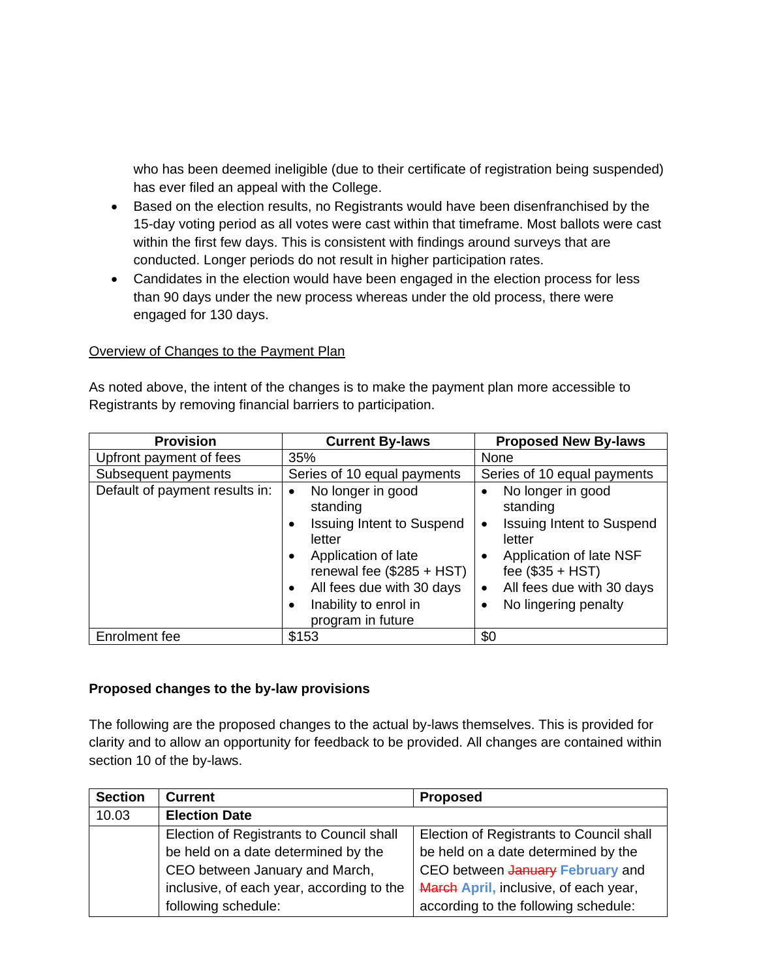who has been deemed ineligible (due to their certificate of registration being suspended) has ever filed an appeal with the College.

- Based on the election results, no Registrants would have been disenfranchised by the 15-day voting period as all votes were cast within that timeframe. Most ballots were cast within the first few days. This is consistent with findings around surveys that are conducted. Longer periods do not result in higher participation rates.
- Candidates in the election would have been engaged in the election process for less than 90 days under the new process whereas under the old process, there were engaged for 130 days.

## Overview of Changes to the Payment Plan

As noted above, the intent of the changes is to make the payment plan more accessible to Registrants by removing financial barriers to participation.

| <b>Provision</b>               | <b>Current By-laws</b>                                                                                                                                                                                                              | <b>Proposed New By-laws</b>                                                                                                                                                                                             |
|--------------------------------|-------------------------------------------------------------------------------------------------------------------------------------------------------------------------------------------------------------------------------------|-------------------------------------------------------------------------------------------------------------------------------------------------------------------------------------------------------------------------|
| Upfront payment of fees        | 35%                                                                                                                                                                                                                                 | None                                                                                                                                                                                                                    |
| Subsequent payments            | Series of 10 equal payments                                                                                                                                                                                                         | Series of 10 equal payments                                                                                                                                                                                             |
| Default of payment results in: | No longer in good<br>$\bullet$<br>standing<br><b>Issuing Intent to Suspend</b><br>٠<br>letter<br>Application of late<br>renewal fee $(\$285 + HST)$<br>All fees due with 30 days<br>٠<br>Inability to enrol in<br>program in future | No longer in good<br>$\bullet$<br>standing<br><b>Issuing Intent to Suspend</b><br>$\bullet$<br>letter<br>Application of late NSF<br>fee $($35 + HST)$<br>All fees due with 30 days<br>$\bullet$<br>No lingering penalty |
| Enrolment fee                  | \$153                                                                                                                                                                                                                               | \$0                                                                                                                                                                                                                     |

## **Proposed changes to the by-law provisions**

The following are the proposed changes to the actual by-laws themselves. This is provided for clarity and to allow an opportunity for feedback to be provided. All changes are contained within section 10 of the by-laws.

| <b>Section</b> | <b>Current</b>                            | <b>Proposed</b>                          |
|----------------|-------------------------------------------|------------------------------------------|
| 10.03          | <b>Election Date</b>                      |                                          |
|                | Election of Registrants to Council shall  | Election of Registrants to Council shall |
|                | be held on a date determined by the       | be held on a date determined by the      |
|                | CEO between January and March,            | CEO between January February and         |
|                | inclusive, of each year, according to the | March April, inclusive, of each year,    |
|                | following schedule:                       | according to the following schedule:     |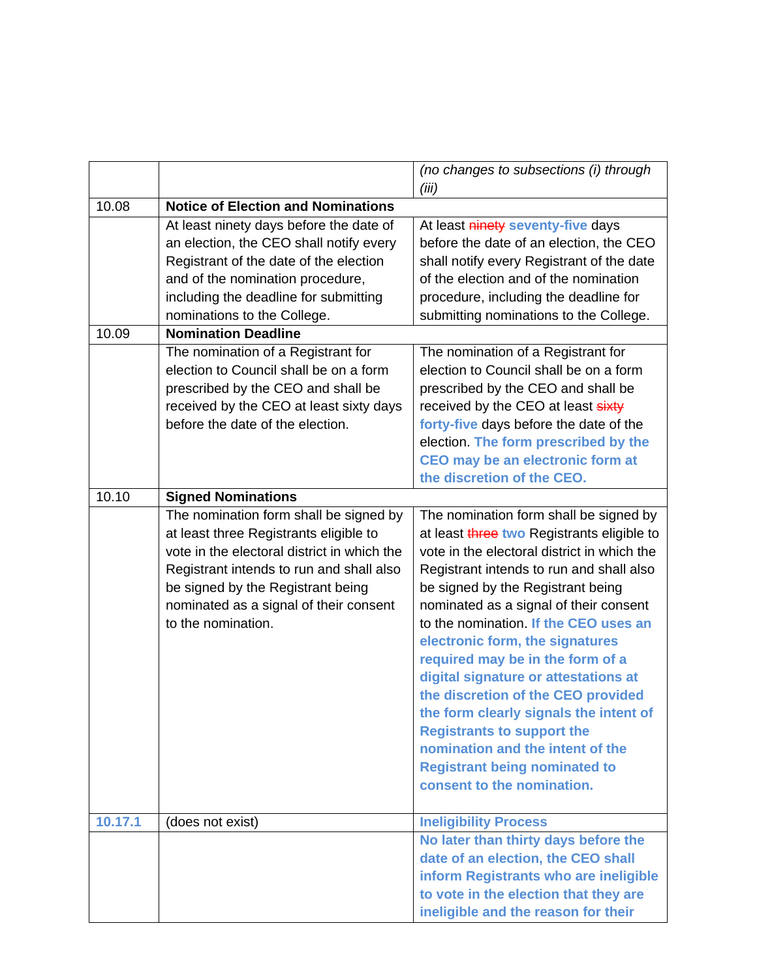|         |                                                                                                                                                                                                                                                                                  | (no changes to subsections (i) through<br>(iii)                                                                                                                                                                                                                                                                                                                                                                                                                                                                                                                                                                                                       |
|---------|----------------------------------------------------------------------------------------------------------------------------------------------------------------------------------------------------------------------------------------------------------------------------------|-------------------------------------------------------------------------------------------------------------------------------------------------------------------------------------------------------------------------------------------------------------------------------------------------------------------------------------------------------------------------------------------------------------------------------------------------------------------------------------------------------------------------------------------------------------------------------------------------------------------------------------------------------|
| 10.08   | <b>Notice of Election and Nominations</b>                                                                                                                                                                                                                                        |                                                                                                                                                                                                                                                                                                                                                                                                                                                                                                                                                                                                                                                       |
|         | At least ninety days before the date of<br>an election, the CEO shall notify every<br>Registrant of the date of the election<br>and of the nomination procedure,<br>including the deadline for submitting<br>nominations to the College.                                         | At least ninety seventy-five days<br>before the date of an election, the CEO<br>shall notify every Registrant of the date<br>of the election and of the nomination<br>procedure, including the deadline for<br>submitting nominations to the College.                                                                                                                                                                                                                                                                                                                                                                                                 |
| 10.09   | <b>Nomination Deadline</b>                                                                                                                                                                                                                                                       |                                                                                                                                                                                                                                                                                                                                                                                                                                                                                                                                                                                                                                                       |
|         | The nomination of a Registrant for<br>election to Council shall be on a form<br>prescribed by the CEO and shall be<br>received by the CEO at least sixty days<br>before the date of the election.                                                                                | The nomination of a Registrant for<br>election to Council shall be on a form<br>prescribed by the CEO and shall be<br>received by the CEO at least sixty<br>forty-five days before the date of the<br>election. The form prescribed by the<br>CEO may be an electronic form at<br>the discretion of the CEO.                                                                                                                                                                                                                                                                                                                                          |
| 10.10   | <b>Signed Nominations</b>                                                                                                                                                                                                                                                        |                                                                                                                                                                                                                                                                                                                                                                                                                                                                                                                                                                                                                                                       |
|         | The nomination form shall be signed by<br>at least three Registrants eligible to<br>vote in the electoral district in which the<br>Registrant intends to run and shall also<br>be signed by the Registrant being<br>nominated as a signal of their consent<br>to the nomination. | The nomination form shall be signed by<br>at least three two Registrants eligible to<br>vote in the electoral district in which the<br>Registrant intends to run and shall also<br>be signed by the Registrant being<br>nominated as a signal of their consent<br>to the nomination. If the CEO uses an<br>electronic form, the signatures<br>required may be in the form of a<br>digital signature or attestations at<br>the discretion of the CEO provided<br>the form clearly signals the intent of<br><b>Registrants to support the</b><br>nomination and the intent of the<br><b>Registrant being nominated to</b><br>consent to the nomination. |
| 10.17.1 | (does not exist)                                                                                                                                                                                                                                                                 | <b>Ineligibility Process</b>                                                                                                                                                                                                                                                                                                                                                                                                                                                                                                                                                                                                                          |
|         |                                                                                                                                                                                                                                                                                  | No later than thirty days before the<br>date of an election, the CEO shall<br>inform Registrants who are ineligible<br>to vote in the election that they are<br>ineligible and the reason for their                                                                                                                                                                                                                                                                                                                                                                                                                                                   |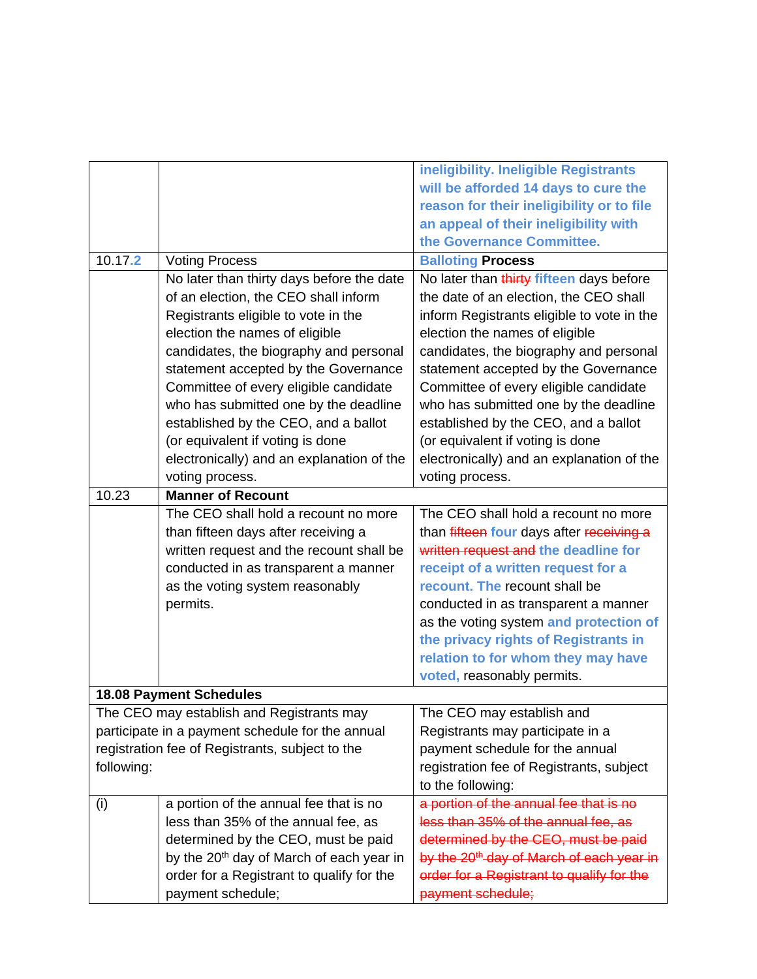|                                                  |                                                      | ineligibility. Ineligible Registrants                |  |
|--------------------------------------------------|------------------------------------------------------|------------------------------------------------------|--|
|                                                  |                                                      | will be afforded 14 days to cure the                 |  |
|                                                  |                                                      | reason for their ineligibility or to file            |  |
|                                                  |                                                      | an appeal of their ineligibility with                |  |
|                                                  |                                                      | the Governance Committee.                            |  |
| 10.17.2                                          | <b>Voting Process</b>                                | <b>Balloting Process</b>                             |  |
|                                                  | No later than thirty days before the date            | No later than thirty fifteen days before             |  |
|                                                  | of an election, the CEO shall inform                 | the date of an election, the CEO shall               |  |
|                                                  | Registrants eligible to vote in the                  | inform Registrants eligible to vote in the           |  |
|                                                  | election the names of eligible                       | election the names of eligible                       |  |
|                                                  | candidates, the biography and personal               | candidates, the biography and personal               |  |
|                                                  | statement accepted by the Governance                 | statement accepted by the Governance                 |  |
|                                                  | Committee of every eligible candidate                | Committee of every eligible candidate                |  |
|                                                  | who has submitted one by the deadline                | who has submitted one by the deadline                |  |
|                                                  | established by the CEO, and a ballot                 | established by the CEO, and a ballot                 |  |
|                                                  | (or equivalent if voting is done                     | (or equivalent if voting is done                     |  |
|                                                  | electronically) and an explanation of the            | electronically) and an explanation of the            |  |
|                                                  | voting process.                                      | voting process.                                      |  |
| 10.23                                            | <b>Manner of Recount</b>                             |                                                      |  |
|                                                  | The CEO shall hold a recount no more                 | The CEO shall hold a recount no more                 |  |
|                                                  | than fifteen days after receiving a                  | than fifteen four days after receiving a             |  |
|                                                  | written request and the recount shall be             | written request and the deadline for                 |  |
|                                                  | conducted in as transparent a manner                 | receipt of a written request for a                   |  |
|                                                  | as the voting system reasonably                      | recount. The recount shall be                        |  |
|                                                  | permits.                                             | conducted in as transparent a manner                 |  |
|                                                  |                                                      | as the voting system and protection of               |  |
|                                                  |                                                      | the privacy rights of Registrants in                 |  |
|                                                  |                                                      | relation to for whom they may have                   |  |
|                                                  |                                                      | voted, reasonably permits.                           |  |
|                                                  | <b>18.08 Payment Schedules</b>                       |                                                      |  |
|                                                  | The CEO may establish and Registrants may            | The CEO may establish and                            |  |
| participate in a payment schedule for the annual |                                                      | Registrants may participate in a                     |  |
|                                                  | registration fee of Registrants, subject to the      | payment schedule for the annual                      |  |
| following:                                       |                                                      | registration fee of Registrants, subject             |  |
|                                                  |                                                      | to the following:                                    |  |
| (i)                                              | a portion of the annual fee that is no               | a portion of the annual fee that is no               |  |
|                                                  | less than 35% of the annual fee, as                  | less than 35% of the annual fee, as                  |  |
|                                                  | determined by the CEO, must be paid                  | determined by the CEO, must be paid                  |  |
|                                                  | by the 20 <sup>th</sup> day of March of each year in | by the 20 <sup>th</sup> day of March of each year in |  |
|                                                  | order for a Registrant to qualify for the            | order for a Registrant to qualify for the            |  |
|                                                  | payment schedule;                                    | payment schedule;                                    |  |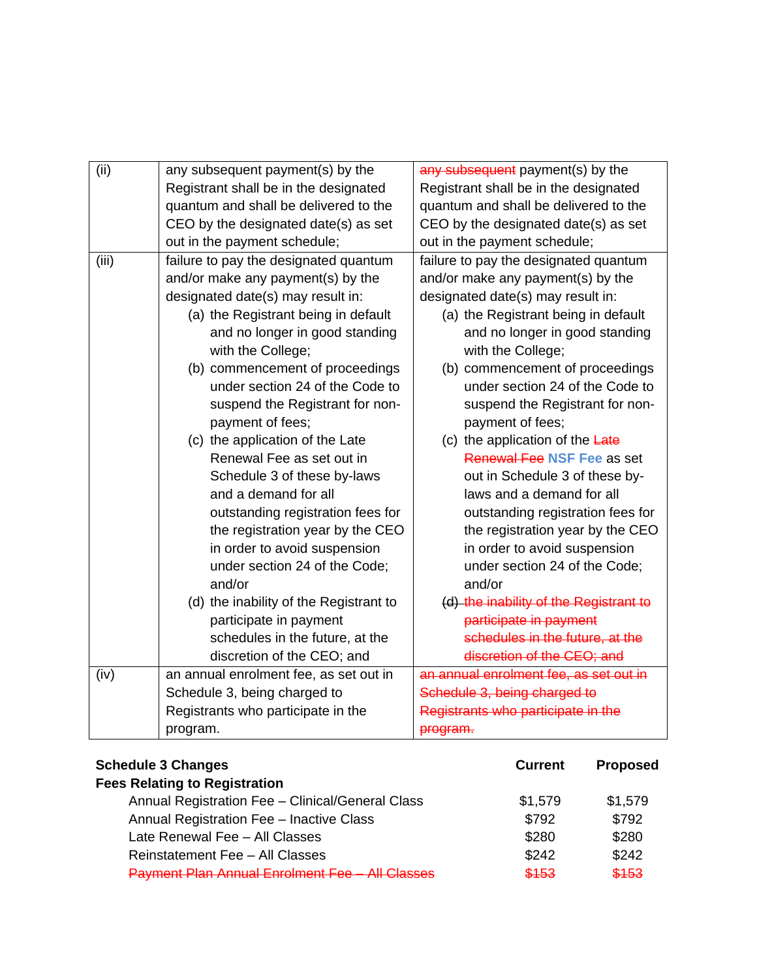| (ii)  | any subsequent payment(s) by the       | any subsequent payment(s) by the       |
|-------|----------------------------------------|----------------------------------------|
|       | Registrant shall be in the designated  | Registrant shall be in the designated  |
|       | quantum and shall be delivered to the  | quantum and shall be delivered to the  |
|       | CEO by the designated date(s) as set   | CEO by the designated date(s) as set   |
|       | out in the payment schedule;           | out in the payment schedule;           |
| (iii) | failure to pay the designated quantum  | failure to pay the designated quantum  |
|       | and/or make any payment(s) by the      | and/or make any payment(s) by the      |
|       | designated date(s) may result in:      | designated date(s) may result in:      |
|       | (a) the Registrant being in default    | (a) the Registrant being in default    |
|       | and no longer in good standing         | and no longer in good standing         |
|       | with the College;                      | with the College;                      |
|       | (b) commencement of proceedings        | (b) commencement of proceedings        |
|       | under section 24 of the Code to        | under section 24 of the Code to        |
|       | suspend the Registrant for non-        | suspend the Registrant for non-        |
|       | payment of fees;                       | payment of fees;                       |
|       | (c) the application of the Late        | (c) the application of the Late        |
|       | Renewal Fee as set out in              | Renewal Fee NSF Fee as set             |
|       | Schedule 3 of these by-laws            | out in Schedule 3 of these by-         |
|       | and a demand for all                   | laws and a demand for all              |
|       | outstanding registration fees for      | outstanding registration fees for      |
|       | the registration year by the CEO       | the registration year by the CEO       |
|       | in order to avoid suspension           | in order to avoid suspension           |
|       | under section 24 of the Code;          | under section 24 of the Code;          |
|       | and/or                                 | and/or                                 |
|       | (d) the inability of the Registrant to | (d) the inability of the Registrant to |
|       | participate in payment                 | participate in payment                 |
|       | schedules in the future, at the        | schedules in the future, at the        |
|       | discretion of the CEO; and             | discretion of the CEO; and             |
| (iv)  | an annual enrolment fee, as set out in | an annual enrolment fee, as set out in |
|       | Schedule 3, being charged to           | Schedule 3, being charged to           |
|       | Registrants who participate in the     | Registrants who participate in the     |
|       | program.                               | program.                               |

| <b>Schedule 3 Changes</b>                              | <b>Current</b> | <b>Proposed</b> |
|--------------------------------------------------------|----------------|-----------------|
| <b>Fees Relating to Registration</b>                   |                |                 |
| Annual Registration Fee - Clinical/General Class       | \$1,579        | \$1,579         |
| Annual Registration Fee - Inactive Class               | \$792          | \$792           |
| Late Renewal Fee - All Classes                         | \$280          | \$280           |
| Reinstatement Fee - All Classes                        | \$242          | \$242           |
| <b>Payment Plan Annual Enrolment Fee - All Classes</b> | \$153          | \$153           |